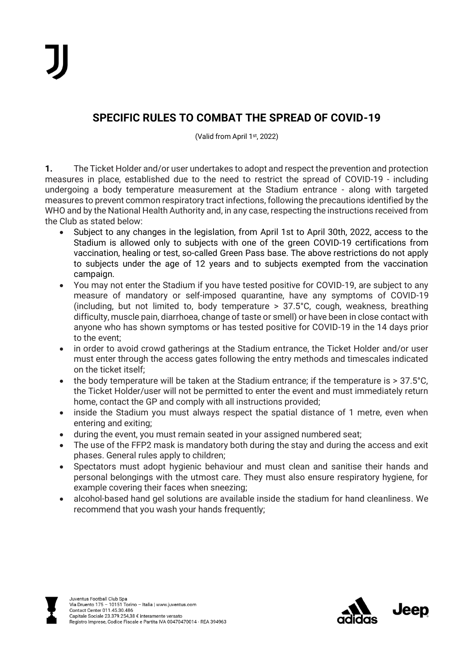## **SPECIFIC RULES TO COMBAT THE SPREAD OF COVID-19**

(Valid from April 1st , 2022)

**1.** The Ticket Holder and/or user undertakes to adopt and respect the prevention and protection measures in place, established due to the need to restrict the spread of COVID-19 - including undergoing a body temperature measurement at the Stadium entrance - along with targeted measures to prevent common respiratory tract infections, following the precautions identified by the WHO and by the National Health Authority and, in any case, respecting the instructions received from the Club as stated below:

- Subject to any changes in the legislation, from April 1st to April 30th, 2022, access to the Stadium is allowed only to subjects with one of the green COVID-19 certifications from vaccination, healing or test, so-called Green Pass base. The above restrictions do not apply to subjects under the age of 12 years and to subjects exempted from the vaccination campaign.
- You may not enter the Stadium if you have tested positive for COVID-19, are subject to any measure of mandatory or self-imposed quarantine, have any symptoms of COVID-19 (including, but not limited to, body temperature > 37.5°C, cough, weakness, breathing difficulty, muscle pain, diarrhoea, change of taste or smell) or have been in close contact with anyone who has shown symptoms or has tested positive for COVID-19 in the 14 days prior to the event;
- in order to avoid crowd gatherings at the Stadium entrance, the Ticket Holder and/or user must enter through the access gates following the entry methods and timescales indicated on the ticket itself;
- the body temperature will be taken at the Stadium entrance; if the temperature is > 37.5°C. the Ticket Holder/user will not be permitted to enter the event and must immediately return home, contact the GP and comply with all instructions provided;
- inside the Stadium you must always respect the spatial distance of 1 metre, even when entering and exiting;
- during the event, you must remain seated in your assigned numbered seat;
- The use of the FFP2 mask is mandatory both during the stay and during the access and exit phases. General rules apply to children;
- Spectators must adopt hygienic behaviour and must clean and sanitise their hands and personal belongings with the utmost care. They must also ensure respiratory hygiene, for example covering their faces when sneezing;
- alcohol-based hand gel solutions are available inside the stadium for hand cleanliness. We recommend that you wash your hands frequently;